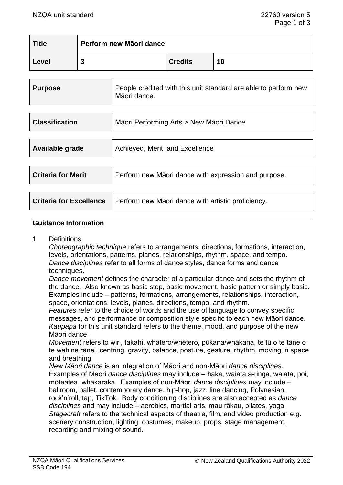| <b>Title</b> | Perform new Māori dance |                |    |  |
|--------------|-------------------------|----------------|----|--|
| Level        | ີ<br>w                  | <b>Credits</b> | 10 |  |

| <b>Purpose</b>                 | People credited with this unit standard are able to perform new<br>Māori dance. |  |
|--------------------------------|---------------------------------------------------------------------------------|--|
|                                |                                                                                 |  |
| <b>Classification</b>          | Māori Performing Arts > New Māori Dance                                         |  |
|                                |                                                                                 |  |
| Available grade                | Achieved, Merit, and Excellence                                                 |  |
|                                |                                                                                 |  |
| <b>Criteria for Merit</b>      | Perform new Maori dance with expression and purpose.                            |  |
|                                |                                                                                 |  |
| <b>Criteria for Excellence</b> | Perform new Maori dance with artistic proficiency.                              |  |

#### **Guidance Information**

1 Definitions

*Choreographic technique* refers to arrangements, directions, formations, interaction, levels, orientations, patterns, planes, relationships, rhythm, space, and tempo. *Dance disciplines* refer to all forms of dance styles, dance forms and dance techniques.

*Dance movement* defines the character of a particular dance and sets the rhythm of the dance. Also known as basic step, basic movement, basic pattern or simply basic. Examples include – patterns, formations, arrangements, relationships, interaction, space, orientations, levels, planes, directions, tempo, and rhythm.

*Features* refer to the choice of words and the use of language to convey specific messages, and performance or composition style specific to each new Māori dance. *Kaupapa* for this unit standard refers to the theme, mood, and purpose of the new Māori dance.

*Movement* refers to wiri, takahi, whātero/whētero, pūkana/whākana, te tū o te tāne o te wahine rānei, centring, gravity, balance, posture, gesture, rhythm, moving in space and breathing.

*New Māori dance* is an integration of Māori and non-Māori *dance disciplines*. Examples of Māori *dance disciplines* may include – haka, waiata ā-ringa, waiata, poi, mōteatea, whakaraka. Examples of non-Māori *dance disciplines* may include – ballroom, ballet, contemporary dance, hip-hop, jazz, line dancing, Polynesian, rock'n'roll, tap, TikTok. Body conditioning disciplines are also accepted as *dance disciplines* and may include – aerobics, martial arts, mau rākau, pilates, yoga. *Stagecraft* refers to the technical aspects of theatre, film, and video production e.g. scenery construction, lighting, costumes, makeup, props, stage management, recording and mixing of sound.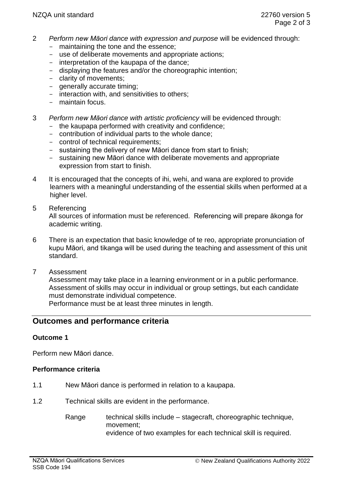- 2 *Perform new Māori dance with expression and purpose* will be evidenced through:
	- maintaining the tone and the essence;
	- use of deliberate movements and appropriate actions;
	- interpretation of the kaupapa of the dance;
	- displaying the features and/or the choreographic intention;
	- clarity of movements;
	- generally accurate timing:
	- interaction with, and sensitivities to others;
	- maintain focus.
- 3 *Perform new Māori dance with artistic proficiency* will be evidenced through:
	- the kaupapa performed with creativity and confidence;
	- contribution of individual parts to the whole dance;
	- control of technical requirements;
	- sustaining the delivery of new Māori dance from start to finish;
	- sustaining new Māori dance with deliberate movements and appropriate expression from start to finish.
- 4 It is encouraged that the concepts of ihi, wehi, and wana are explored to provide learners with a meaningful understanding of the essential skills when performed at a higher level.
- 5 Referencing

All sources of information must be referenced. Referencing will prepare ākonga for academic writing.

- 6 There is an expectation that basic knowledge of te reo, appropriate pronunciation of kupu Māori, and tikanga will be used during the teaching and assessment of this unit standard.
- 7 Assessment

Assessment may take place in a learning environment or in a public performance. Assessment of skills may occur in individual or group settings, but each candidate must demonstrate individual competence.

Performance must be at least three minutes in length.

# **Outcomes and performance criteria**

### **Outcome 1**

Perform new Māori dance.

### **Performance criteria**

- 1.1 New Māori dance is performed in relation to a kaupapa.
- 1.2 Technical skills are evident in the performance.
	- Range technical skills include stagecraft, choreographic technique, movement; evidence of two examples for each technical skill is required.